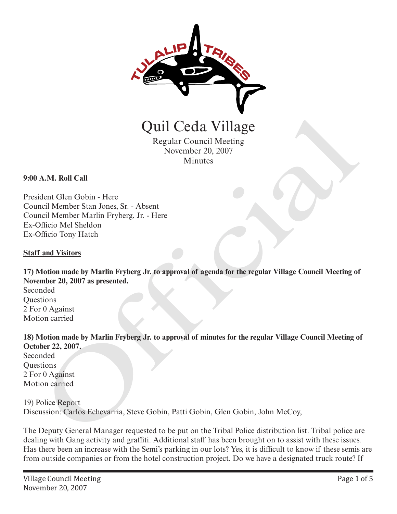

Regular Council Meeting November 20, 2007 Minutes

**9:00 A.M. Roll Call**

President Glen Gobin - Here Council Member Stan Jones, Sr. - Absent Council Member Marlin Fryberg, Jr. - Here Ex-Officio Mel Sheldon Ex-Officio Tony Hatch

#### **Staff and Visitors**

**17) Motion made by Marlin Fryberg Jr. to approval of agenda for the regular Village Council Meeting of November 20, 2007 as presented.** Quil Ceda Village<br>
Regular Council Meeting<br>
November 20, 2007<br>
Minutes<br>
A.M. Roll Call<br>
dent Glen Gobin - Here<br>
included Member Shan Jones, Sr. - Absent<br>
regular Clem Glen Harin Fryberg, Jr. - Here<br>
officio Mel Sheldon<br>
an

Seconded **Questions** 2 For 0 Against Motion carried

**18) Motion made by Marlin Fryberg Jr. to approval of minutes for the regular Village Council Meeting of October 22, 2007.**

Seconded **Ouestions** 2 For 0 Against Motion carried

19) Police Report

Discussion: Carlos Echevarria, Steve Gobin, Patti Gobin, Glen Gobin, John McCoy,

The Deputy General Manager requested to be put on the Tribal Police distribution list. Tribal police are dealing with Gang activity and graffiti. Additional staff has been brought on to assist with these issues. Has there been an increase with the Semi's parking in our lots? Yes, it is difficult to know if these semis are from outside companies or from the hotel construction project. Do we have a designated truck route? If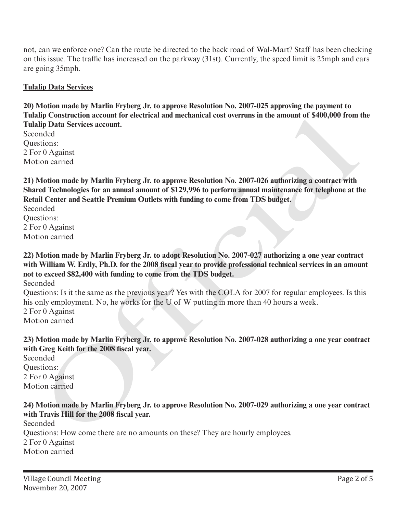not, can we enforce one? Can the route be directed to the back road of Wal-Mart? Staff has been checking on this issue. The traffic has increased on the parkway (31st). Currently, the speed limit is 25mph and cars are going 35mph.

### **Tulalip Data Services**

**20) Motion made by Marlin Fryberg Jr. to approve Resolution No. 2007-025 approving the payment to Tulalip Construction account for electrical and mechanical cost overruns in the amount of \$400,000 from the Tulalip Data Services account.**

Seconded Questions: 2 For 0 Against Motion carried

**21) Motion made by Marlin Fryberg Jr. to approve Resolution No. 2007-026 authorizing a contract with Shared Technologies for an annual amount of \$129,996 to perform annual maintenance for telephone at the Retail Center and Seattle Premium Outlets with funding to come from TDS budget.**

Seconded Questions: 2 For 0 Against Motion carried

**22) Motion made by Marlin Fryberg Jr. to adopt Resolution No. 2007-027 authorizing a one year contract with William W. Erdly, Ph.D. for the 2008 fiscal year to provide professional technical services in an amount not to exceed \$82,400 with funding to come from the TDS budget.** Ip Construction account for eccritesi and incensiones for overvins in the amount of 5400,000 rion<br>in Dip Data Services account.<br>In para Services account.<br>In para Services account.<br>In the Against<br>official made by Marlin Fr

Seconded

Questions: Is it the same as the previous year? Yes with the COLA for 2007 for regular employees. Is this his only employment. No, he works for the U of W putting in more than 40 hours a week.

2 For 0 Against Motion carried

**23) Motion made by Marlin Fryberg Jr. to approve Resolution No. 2007-028 authorizing a one year contract with Greg Keith for the 2008 fiscal year.**

Seconded Questions: 2 For 0 Against Motion carried

#### **24) Motion made by Marlin Fryberg Jr. to approve Resolution No. 2007-029 authorizing a one year contract with Travis Hill for the 2008 fiscal year.**

Seconded Questions: How come there are no amounts on these? They are hourly employees. 2 For 0 Against Motion carried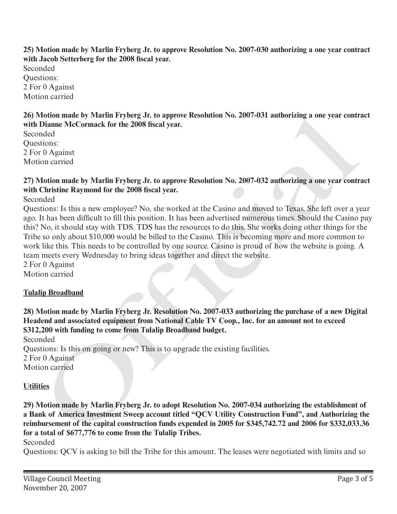**25) Motion made by Marlin Fryberg Jr. to approve Resolution No. 2007-030 authorizing a one year contract with Jacob Setterberg for the 2008 fiscal year.**

Seconded Questions: 2 For 0 Against Motion carried

**26) Motion made by Marlin Fryberg Jr. to approve Resolution No. 2007-031 authorizing a one year contract with Dianne McCormack for the 2008 fiscal year.**

Seconded Questions: 2 For 0 Against Motion carried

### **27) Motion made by Marlin Fryberg Jr. to approve Resolution No. 2007-032 authorizing a one year contract with Christine Raymond for the 2008 fiscal year.**

Seconded

Questions: Is this a new employee? No, she worked at the Casino and moved to Texas. She left over a year ago. It has been difficult to fill this position. It has been advertised numerous times. Should the Casino pay this? No, it should stay with TDS. TDS has the resources to do this. She works doing other things for the Tribe so only about \$10,000 would be billed to the Casino. This is becoming more and more common to work like this. This needs to be controlled by one source. Casino is proud of how the website is going. A team meets every Wednesday to bring ideas together and direct the website. of other and as by Wartin Pryperg Jr. to approve Resolution No. 2007-031 authorizing a one year control<br>Dianne MeCormack for the 2008 fiscal year.<br>
Tel Approx exception No. 2007-032 authorizing a one year control<br>
origins

2 For 0 Against

Motion carried

# **Tulalip Broadband**

**28) Motion made by Marlin Fryberg Jr. Resolution No. 2007-033 authorizing the purchase of a new Digital Headend and associated equipment from National Cable TV Coop., Inc. for an amount not to exceed \$312,200 with funding to come from Tulalip Broadband budget.**

Seconded Questions: Is this on going or new? This is to upgrade the existing facilities. 2 For 0 Against Motion carried

### **Utilities**

**29) Motion made by Marlin Fryberg Jr. to adopt Resolution No. 2007-034 authorizing the establishment of a Bank of America Investment Sweep account titled "QCV Utility Construction Fund", and Authorizing the reimbursement of the capital construction funds expended in 2005 for \$345,742.72 and 2006 for \$332,033.36 for a total of \$677,776 to come from the Tulalip Tribes.**

Seconded

Questions: QCV is asking to bill the Tribe for this amount. The leases were negotiated with limits and so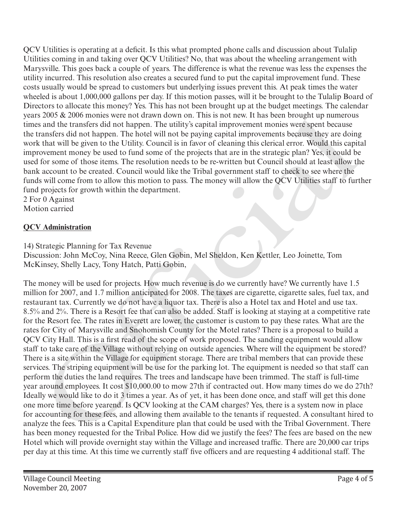QCV Utilities is operating at a deficit. Is this what prompted phone calls and discussion about Tulalip Utilities coming in and taking over QCV Utilities? No, that was about the wheeling arrangement with Marysville. This goes back a couple of years. The difference is what the revenue was less the expenses the utility incurred. This resolution also creates a secured fund to put the capital improvement fund. These costs usually would be spread to customers but underlying issues prevent this. At peak times the water wheeled is about 1,000,000 gallons per day. If this motion passes, will it be brought to the Tulalip Board of Directors to allocate this money? Yes. This has not been brought up at the budget meetings. The calendar years 2005 & 2006 monies were not drawn down on. This is not new. It has been brought up numerous times and the transfers did not happen. The utility's capital improvement monies were spent because the transfers did not happen. The hotel will not be paying capital improvements because they are doing work that will be given to the Utility. Council is in favor of cleaning this clerical error. Would this capital improvement money be used to fund some of the projects that are in the strategic plan? Yes, it could be used for some of those items. The resolution needs to be re-written but Council should at least allow the bank account to be created. Council would like the Tribal government staff to check to see where the funds will come from to allow this motion to pass. The money will allow the QCV Utilities staff to further fund projects for growth within the department.

2 For 0 Against Motion carried

# **QCV Administration**

14) Strategic Planning for Tax Revenue

Discussion: John McCoy, Nina Reece, Glen Gobin, Mel Sheldon, Ken Kettler, Leo Joinette, Tom McKinsey, Shelly Lacy, Tony Hatch, Patti Gobin,

The money will be used for projects. How much revenue is do we currently have? We currently have 1.5 million for 2007, and 1.7 million anticipated for 2008. The taxes are cigarette, cigarette sales, fuel tax, and restaurant tax. Currently we do not have a liquor tax. There is also a Hotel tax and Hotel and use tax. 8.5% and 2%. There is a Resort fee that can also be added. Staff is looking at staying at a competitive rate for the Resort fee. The rates in Everett are lower, the customer is custom to pay these rates. What are the rates for City of Marysville and Snohomish County for the Motel rates? There is a proposal to build a QCV City Hall. This is a first read of the scope of work proposed. The sanding equipment would allow staff to take care of the Village without relying on outside agencies. Where will the equipment be stored? There is a site within the Village for equipment storage. There are tribal members that can provide these services. The striping equipment will be use for the parking lot. The equipment is needed so that staff can perform the duties the land requires. The trees and landscape have been trimmed. The staff is full-time year around employees. It cost \$10,000.00 to mow 27th if contracted out. How many times do we do 27th? Ideally we would like to do it 3 times a year. As of yet, it has been done once, and staff will get this done one more time before yearend. Is QCV looking at the CAM charges? Yes, there is a system now in place for accounting for these fees, and allowing them available to the tenants if requested. A consultant hired to analyze the fees. This is a Capital Expenditure plan that could be used with the Tribal Government. There has been money requested for the Tribal Police. How did we justify the fees? The fees are based on the new Hotel which will provide overnight stay within the Village and increased traffic. There are 20,000 car trips per day at this time. At this time we currently staff five officers and are requesting 4 additional staff. The 2003 & 2006 mones were not drawn abow non. This is not new. It has been browner to measure and the transfers did not happen. The unitity scapital improvement mones were spent because<br>such that will be given to the both lim